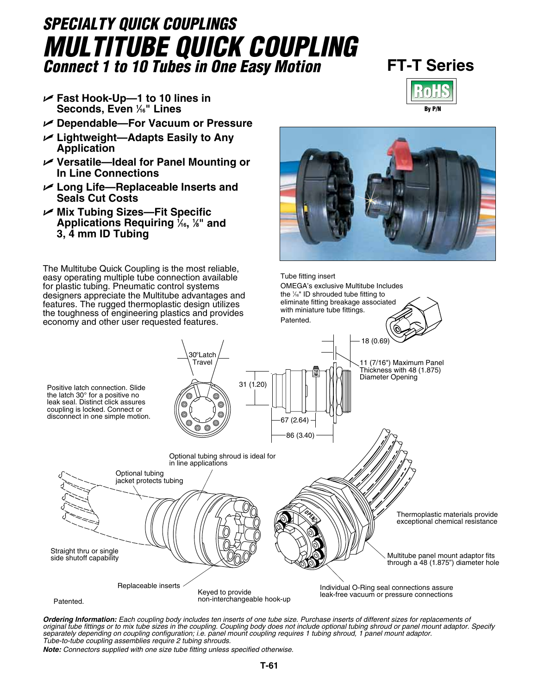# *SPECIALTY QUICK COUPLINGS Multitube Quick Coupling Connect 1 to 10 Tubes in One Easy Motion* **FT-T Series**

- U **Fast Hook-Up—1 to 10 lines in Seconds, Even 1 ⁄16" Lines**
- U **Dependable—For Vacuum or Pressure**
- U **Lightweight—Adapts Easily to Any Application**
- U **Versatile—Ideal for Panel Mounting or In Line Connections**
- U **Long Life—Replaceable Inserts and Seals Cut Costs**
- U **Mix Tubing Sizes—Fit Specific Applications Requiring 1 ⁄16, 1 ⁄8" and 3, 4 mm ID Tubing**

The Multitube Quick Coupling is the most reliable, easy operating multiple tube connection available for plastic tubing. Pneumatic control systems designers appreciate the Multitube advantages and features. The rugged thermoplastic design utilizes the toughness of engineering plastics and provides economy and other user requested features.





Tube fitting insert

OMEGA's exclusive Multitube Includes

*Ordering Information: Each coupling body includes ten inserts of one tube size. Purchase inserts of different sizes for replacements of original tube fittings or to mix tube sizes in the coupling. Coupling body does not include optional tubing shroud or panel mount adaptor. Specify separately depending on coupling configuration; i.e. panel mount coupling requires 1 tubing shroud, 1 panel mount adaptor. Tube-to-tube coupling assemblies require 2 tubing shrouds.*

*Note: Connectors supplied with one size tube fitting unless specified otherwise.*